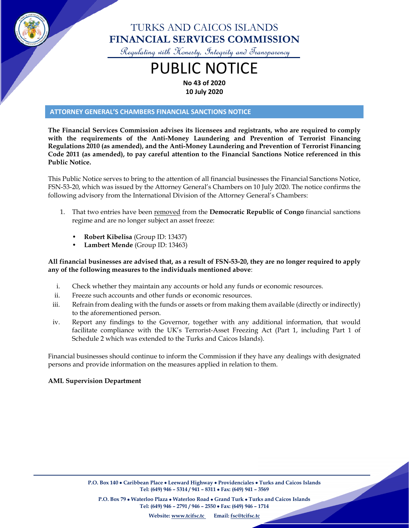

## TURKS AND CAICOS ISLANDS **FINANCIAL SERVICES COMMISSION**

Regulating with Honesty, Integrity and Transparency

# PUBLIC NOTICE **No 43 of 2020**

**10 July 2020**

#### **ATTORNEY GENERAL'S CHAMBERS FINANCIAL SANCTIONS NOTICE**

**The Financial Services Commission advises its licensees and registrants, who are required to comply with the requirements of the Anti-Money Laundering and Prevention of Terrorist Financing Regulations 2010 (as amended), and the Anti-Money Laundering and Prevention of Terrorist Financing Code 2011 (as amended), to pay careful attention to the Financial Sanctions Notice referenced in this Public Notice.**

This Public Notice serves to bring to the attention of all financial businesses the Financial Sanctions Notice, FSN-53-20, which was issued by the Attorney General's Chambers on 10 July 2020. The notice confirms the following advisory from the International Division of the Attorney General's Chambers:

- 1. That two entries have been removed from the **Democratic Republic of Congo** financial sanctions regime and are no longer subject an asset freeze:
	- **Robert Kibelisa** (Group ID: 13437)
	- **Lambert Mende** (Group ID: 13463)

#### **All financial businesses are advised that, as a result of FSN-53-20, they are no longer required to apply any of the following measures to the individuals mentioned above**:

- i. Check whether they maintain any accounts or hold any funds or economic resources.
- ii. Freeze such accounts and other funds or economic resources.
- iii. Refrain from dealing with the funds or assets or from making them available (directly or indirectly) to the aforementioned person.
- iv. Report any findings to the Governor, together with any additional information, that would facilitate compliance with the UK's Terrorist-Asset Freezing Act (Part 1, including Part 1 of Schedule 2 which was extended to the Turks and Caicos Islands).

Financial businesses should continue to inform the Commission if they have any dealings with designated persons and provide information on the measures applied in relation to them.

#### **AML Supervision Department**

**P.O. Box 79** • **Waterloo Plaza** • **Waterloo Road** • **Grand Turk** • **Turks and Caicos Islands Tel: (649) 946 – 2791 / 946 – 2550** • **Fax: (649) 946 – 1714**

**Website: [www.tcifsc.tc](http://www.tcifsc.tc/) Email[: fsc@tcifsc.tc](mailto:fsc@tcifsc.tc)**